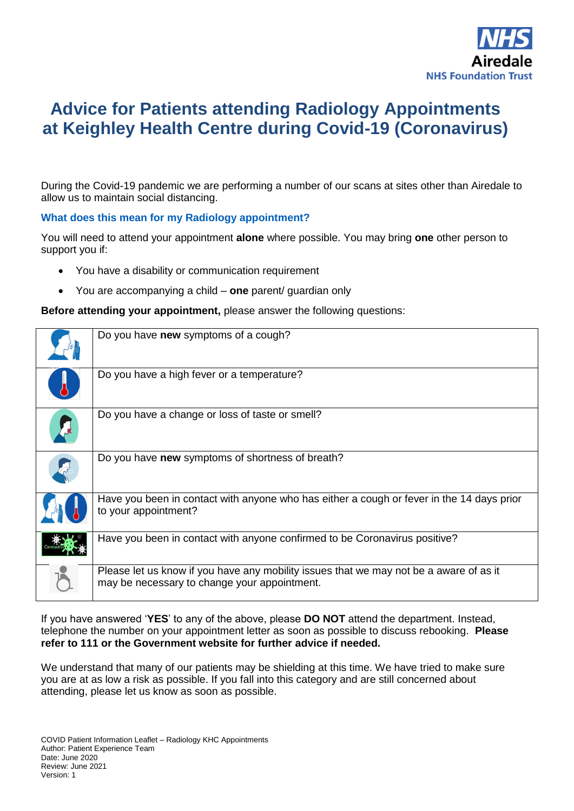

# **Advice for Patients attending Radiology Appointments at Keighley Health Centre during Covid-19 (Coronavirus)**

During the Covid-19 pandemic we are performing a number of our scans at sites other than Airedale to allow us to maintain social distancing.

### **What does this mean for my Radiology appointment?**

You will need to attend your appointment **alone** where possible. You may bring **one** other person to support you if:

- You have a disability or communication requirement
- You are accompanying a child **one** parent/ guardian only

**Before attending your appointment,** please answer the following questions:

| Do you have new symptoms of a cough?                                                                                                   |
|----------------------------------------------------------------------------------------------------------------------------------------|
| Do you have a high fever or a temperature?                                                                                             |
| Do you have a change or loss of taste or smell?                                                                                        |
| Do you have new symptoms of shortness of breath?                                                                                       |
| Have you been in contact with anyone who has either a cough or fever in the 14 days prior<br>to your appointment?                      |
| Have you been in contact with anyone confirmed to be Coronavirus positive?                                                             |
| Please let us know if you have any mobility issues that we may not be a aware of as it<br>may be necessary to change your appointment. |

If you have answered '**YES**' to any of the above, please **DO NOT** attend the department. Instead, telephone the number on your appointment letter as soon as possible to discuss rebooking. **Please refer to 111 or the Government website for further advice if needed.**

We understand that many of our patients may be shielding at this time. We have tried to make sure you are at as low a risk as possible. If you fall into this category and are still concerned about attending, please let us know as soon as possible.